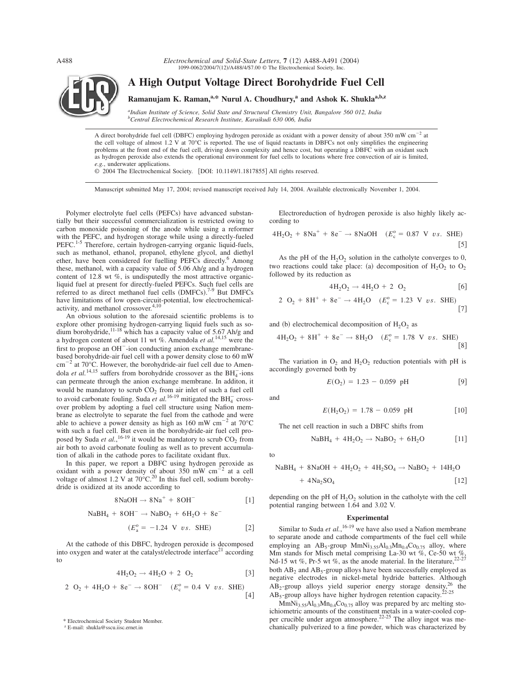*Electrochemical and Solid-State Letters*,  $7 (12)$  A488-A491 (2004) 1099-0062/2004/7(12)/A488/4/\$7.00 © The Electrochemical Society, Inc.



A direct borohydride fuel cell (DBFC) employing hydrogen peroxide as oxidant with a power density of about 350 mW cm<sup>-2</sup> at the cell voltage of almost 1.2 V at  $70^{\circ}\text{C}$  is reported. The use of liquid reactants in DBFCs not only simplifies the engineering problems at the front end of the fuel cell, driving down complexity and hence cost, but operating a DBFC with an oxidant such as hydrogen peroxide also extends the operational environment for fuel cells to locations where free convection of air is limited, *e.g.*, underwater applications.

© 2004 The Electrochemical Society. [DOI: 10.1149/1.1817855] All rights reserved.

Manuscript submitted May 17, 2004; revised manuscript received July 14, 2004. Available electronically November 1, 2004.

Polymer electrolyte fuel cells (PEFCs) have advanced substantially but their successful commercialization is restricted owing to carbon monoxide poisoning of the anode while using a reformer with the PEFC, and hydrogen storage while using a directly-fueled PEFC.<sup>1-5</sup> Therefore, certain hydrogen-carrying organic liquid-fuels, such as methanol, ethanol, propanol, ethylene glycol, and diethyl ether, have been considered for fuelling PEFCs directly.<sup>6</sup> Among these, methanol, with a capacity value of 5.06 Ah/g and a hydrogen content of 12.8 wt %, is undisputedly the most attractive organicliquid fuel at present for directly-fueled PEFCs. Such fuel cells are referred to as direct methanol fuel cells (DMFCs).<sup>7-9</sup> But DMFCs have limitations of low open-circuit-potential, low electrochemicalactivity, and methanol crossover.<sup>4,10</sup>

An obvious solution to the aforesaid scientific problems is to explore other promising hydrogen-carrying liquid fuels such as sodium borohydride,  $11-18$  which has a capacity value of 5.67 Ah/g and a hydrogen content of about 11 wt %. Amendola *et al.*14,15 were the first to propose an  $OH^-$ -ion conducting anion exchange membranebased borohydride-air fuel cell with a power density close to 60 mW  $\text{cm}^{-2}$  at 70 $\text{°C}$ . However, the borohydride-air fuel cell due to Amendola *et al.*<sup>14,15</sup> suffers from borohydride crossover as the  $BH_4^-$ -ions can permeate through the anion exchange membrane. In additon, it would be mandatory to scrub  $CO<sub>2</sub>$  from air inlet of such a fuel cell to avoid carbonate fouling. Suda *et al.*<sup>16-19</sup> mitigated the  $BH_4^-$  crossover problem by adopting a fuel cell structure using Nafion membrane as electrolyte to separate the fuel from the cathode and were able to achieve a power density as high as  $160 \text{ mW cm}^{-2}$  at  $70^{\circ}$ C with such a fuel cell. But even in the borohydride-air fuel cell proposed by Suda *et al.*,<sup>16-19</sup> it would be mandatory to scrub  $CO_2$  from air both to avoid carbonate fouling as well as to prevent accumulation of alkali in the cathode pores to facilitate oxidant flux.

In this paper, we report a DBFC using hydrogen peroxide as oxidant with a power density of about 350 mW  $\text{cm}^{-2}$ <sup>2</sup> at a cell voltage of almost 1.2 V at  $70^{\circ}$ C.<sup>20</sup> In this fuel cell, sodium borohydride is oxidized at its anode according to

$$
8NaOH \rightarrow 8Na^{+} + 8OH^{-}
$$
 [1]

$$
NABH_4 + 8OH^- \rightarrow NaBO_2 + 6H_2O + 8e^-
$$
  
( $E_a^0 = -1.24$  V *vs.* SHE) [2]

At the cathode of this DBFC, hydrogen peroxide is decomposed into oxygen and water at the catalyst/electrode interface<sup>21</sup> according to

$$
4H_2O_2 \to 4H_2O + 2 O_2 \tag{3}
$$

2 O<sub>2</sub> + 4H<sub>2</sub>O + 8e<sup>-</sup> 
$$
\rightarrow
$$
 8OH<sup>-</sup> ( $E_c^o$  = 0.4 V *vs.* SHE)  
[4]

\* Electrochemical Society Student Member.

<sup>z</sup> E-mail: shukla@sscu.iisc.ernet.in

Electroreduction of hydrogen peroxide is also highly likely according to

$$
4H_2O_2 + 8Na^+ + 8e^- \rightarrow 8NaOH \quad (E_c^o = 0.87 \text{ V } vs. \text{ SHE})
$$
 [5]

As the pH of the  $H_2O_2$  solution in the catholyte converges to 0, two reactions could take place: (a) decomposition of  $H_2O_2$  to  $O_2$ followed by its reduction as

$$
4H_2O_2 \to 4H_2O + 2 O_2 \tag{6}
$$

2 O<sub>2</sub> + 8H<sup>+</sup> + 8e<sup>-</sup> 
$$
\rightarrow
$$
 4H<sub>2</sub>O (E<sub>c</sub><sup>o</sup> = 1.23 V *vs.* SHE) [7]

and (b) electrochemical decomposition of  $H_2O_2$  as

$$
4H_2O_2 + 8H^+ + 8e^- \rightarrow 8H_2O \quad (E_c^o = 1.78 \text{ V} \text{ vs. SHE})
$$
\n[8]

The variation in  $O_2$  and  $H_2O_2$  reduction potentials with pH is accordingly governed both by

$$
E(O_2) = 1.23 - 0.059 \text{ pH} \tag{9}
$$

and

$$
E(\text{H}_2\text{O}_2) = 1.78 - 0.059 \text{ pH} \qquad [10]
$$

The net cell reaction in such a DBFC shifts from

$$
NaBH4 + 4H2O2 \rightarrow NaBO2 + 6H2O
$$
 [11]

to

 $NaBH_4 + 8NaOH + 4H_2O_2 + 4H_2SO_4 \rightarrow NaBO_2 + 14H_2O$  $+$  4Na<sub>2</sub>SO<sub>4</sub>  $\lceil 12 \rceil$ 

depending on the pH of  $H_2O_2$  solution in the catholyte with the cell potential ranging between 1.64 and 3.02 V.

### **Experimental**

Similar to Suda *et al.*, <sup>16-19</sup> we have also used a Nafion membrane to separate anode and cathode compartments of the fuel cell while employing an  $AB_5$ -group  $MmNi_{3.55}Al_{0.3}Mn_{0.4}Co_{0.75}$  alloy, where Mm stands for Misch metal comprising La-30 wt %, Ce-50 wt %, Nd-15 wt %, Pr-5 wt %, as the anode material. In the literature,  $22-27$ both  $AB_2$  and  $AB_5$ -group alloys have been successfully employed as negative electrodes in nickel-metal hydride batteries. Although  $AB_2$ -group alloys yield superior energy storage density,<sup>26</sup> the  $AB<sub>5</sub>$ -group alloys have higher hydrogen retention capacity.<sup>22-25</sup>

 $MmNi<sub>3.55</sub>Al<sub>0.3</sub>Mn<sub>0.4</sub>Co<sub>0.75</sub>$  alloy was prepared by arc melting stoichiometric amounts of the constituent metals in a water-cooled copper crucible under argon atmosphere.<sup>22-25</sup> The alloy ingot was mechanically pulverized to a fine powder, which was characterized by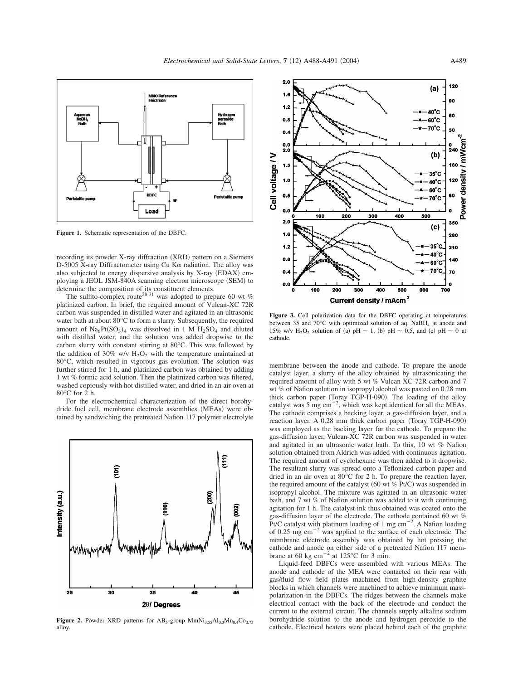

**Figure 1.** Schematic representation of the DBFC.

recording its powder X-ray diffraction (XRD) pattern on a Siemens D-5005 X-ray Diffractometer using Cu K $\alpha$  radiation. The alloy was also subjected to energy dispersive analysis by  $X$ -ray  $(EDAX)$  employing a JEOL JSM-840A scanning electron microscope (SEM) to determine the composition of its constituent elements.

The sulfito-complex route<sup>28-31</sup> was adopted to prepare 60 wt % platinized carbon. In brief, the required amount of Vulcan-XC 72R carbon was suspended in distilled water and agitated in an ultrasonic water bath at about 80°C to form a slurry. Subsequently, the required amount of  $Na_6Pf(SO_3)_4$  was dissolved in 1 M  $H_2SO_4$  and diluted with distilled water, and the solution was added dropwise to the carbon slurry with constant stirring at 80°C. This was followed by the addition of 30% w/v  $H_2O_2$  with the temperature maintained at 80°C, which resulted in vigorous gas evolution. The solution was further stirred for 1 h, and platinized carbon was obtained by adding 1 wt % formic acid solution. Then the platinized carbon was filtered, washed copiously with hot distilled water, and dried in an air oven at 80°C for 2 h.

For the electrochemical characterization of the direct borohydride fuel cell, membrane electrode assemblies (MEAs) were obtained by sandwiching the pretreated Nafion 117 polymer electrolyte



**Figure 2.** Powder XRD patterns for  $AB_5$ -group  $MmNi<sub>3.55</sub>Al<sub>0.3</sub>Mn<sub>0.4</sub>Co<sub>0.75</sub>$ alloy.



**Figure 3.** Cell polarization data for the DBFC operating at temperatures between 35 and 70 $^{\circ}$ C with optimized solution of aq. NaBH<sub>4</sub> at anode and 15% w/v H<sub>2</sub>O<sub>2</sub> solution of (a) pH  $\sim$  1, (b) pH  $\sim$  0.5, and (c) pH  $\sim$  0 at cathode.

membrane between the anode and cathode. To prepare the anode catalyst layer, a slurry of the alloy obtained by ultrasonicating the required amount of alloy with 5 wt % Vulcan XC-72R carbon and 7 wt % of Nafion solution in isopropyl alcohol was pasted on 0.28 mm thick carbon paper (Toray TGP-H-090). The loading of the alloy catalyst was  $5 \text{ mg cm}^{-2}$ , which was kept identical for all the MEAs. The cathode comprises a backing layer, a gas-diffusion layer, and a reaction layer. A 0.28 mm thick carbon paper (Toray TGP-H-090) was employed as the backing layer for the cathode. To prepare the gas-diffusion layer, Vulcan-XC 72R carbon was suspended in water and agitated in an ultrasonic water bath. To this, 10 wt % Nafion solution obtained from Aldrich was added with continuous agitation. The required amount of cyclohexane was then added to it dropwise. The resultant slurry was spread onto a Teflonized carbon paper and dried in an air oven at 80°C for 2 h. To prepare the reaction layer, the required amount of the catalyst (60 wt  $%$  Pt/C) was suspended in isopropyl alcohol. The mixture was agitated in an ultrasonic water bath, and 7 wt % of Nafion solution was added to it with continuing agitation for 1 h. The catalyst ink thus obtained was coated onto the gas-diffusion layer of the electrode. The cathode contained 60 wt % Pt/C catalyst with platinum loading of 1 mg  $\text{cm}^{-2}$ . A Nafion loading of 0.25 mg  $\text{cm}^{-2}$  was applied to the surface of each electrode. The membrane electrode assembly was obtained by hot pressing the cathode and anode on either side of a pretreated Nafion 117 membrane at 60 kg cm<sup>-2</sup> at 125 $^{\circ}$ C for 3 min.

Liquid-feed DBFCs were assembled with various MEAs. The anode and cathode of the MEA were contacted on their rear with gas/fluid flow field plates machined from high-density graphite blocks in which channels were machined to achieve minimum masspolarization in the DBFCs. The ridges between the channels make electrical contact with the back of the electrode and conduct the current to the external circuit. The channels supply alkaline sodium borohydride solution to the anode and hydrogen peroxide to the cathode. Electrical heaters were placed behind each of the graphite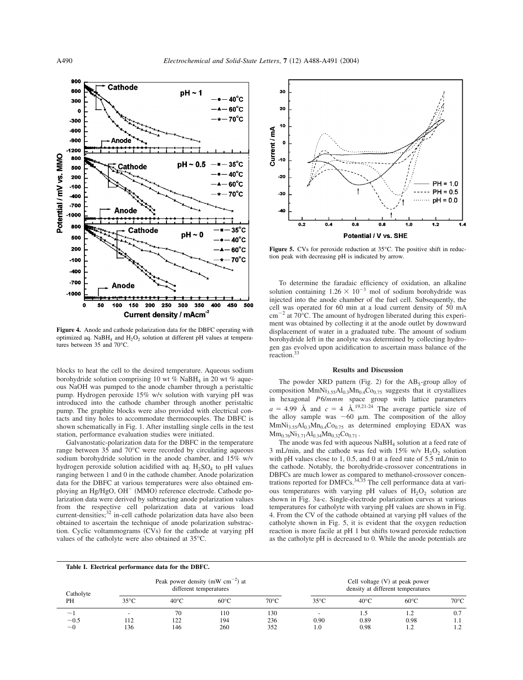

**Figure 4.** Anode and cathode polarization data for the DBFC operating with optimized aq. NaBH<sub>4</sub> and  $H_2O_2$  solution at different pH values at temperatures between 35 and 70°C.

blocks to heat the cell to the desired temperature. Aqueous sodium borohydride solution comprising 10 wt % NaBH<sub>4</sub> in 20 wt % aqueous NaOH was pumped to the anode chamber through a peristaltic pump. Hydrogen peroxide 15% w/v solution with varying pH was introduced into the cathode chamber through another peristaltic pump. The graphite blocks were also provided with electrical contacts and tiny holes to accommodate thermocouples. The DBFC is shown schematically in Fig. 1. After installing single cells in the test station, performance evaluation studies were initiated.

Galvanostatic-polarization data for the DBFC in the temperature range between 35 and 70°C were recorded by circulating aqueous sodium borohydride solution in the anode chamber, and 15% w/v hydrogen peroxide solution acidified with aq.  $H_2SO_4$  to pH values ranging between 1 and 0 in the cathode chamber. Anode polarization data for the DBFC at various temperatures were also obtained employing an Hg/HgO, OH<sup>-</sup> (MMO) reference electrode. Cathode polarization data were derived by subtracting anode polarization values from the respective cell polarization data at various load current-densities;<sup>32</sup> in-cell cathode polarization data have also been obtained to ascertain the technique of anode polarization substraction. Cyclic voltammograms  $(CVs)$  for the cathode at varying pH values of the catholyte were also obtained at 35°C.



Figure 5. CVs for peroxide reduction at 35°C. The positive shift in reduction peak with decreasing pH is indicated by arrow.

To determine the faradaic efficiency of oxidation, an alkaline solution containing  $1.26 \times 10^{-3}$  mol of sodium borohydride was injected into the anode chamber of the fuel cell. Subsequently, the cell was operated for 60 min at a load current density of 50 mA  $\text{cm}^{-2}$  at 70 $\textdegree$ C. The amount of hydrogen liberated during this experiment was obtained by collecting it at the anode outlet by downward displacement of water in a graduated tube. The amount of sodium borohydride left in the anolyte was determined by collecting hydrogen gas evolved upon acidification to ascertain mass balance of the reaction.<sup>3</sup>

# **Results and Discussion**

The powder XRD pattern (Fig. 2) for the  $AB<sub>5</sub>$ -group alloy of composition  $MmNi<sub>3.55</sub>Al<sub>0.3</sub>Mn<sub>0.4</sub>Co<sub>0.75</sub> suggests that it crystallizes$ in hexagonal *P*6/*mmm* space group with lattice parameters  $a = 4.99$  Å and  $c = 4$  Å.<sup>19,21-24</sup> The average particle size of the alloy sample was  $\sim 60$  µm. The composition of the alloy  $MmNi<sub>3.55</sub>Al<sub>0.3</sub>Mn<sub>0.4</sub>Co<sub>0.75</sub>$  as determined employing EDAX was  $Mm_{0.76}Ni_{3.71}Al_{0.34}Mn_{0.32}Co_{0.71}$ .

The anode was fed with aqueous NaBH<sub>4</sub> solution at a feed rate of 3 mL/min, and the cathode was fed with  $15\%$  w/v  $H_2O_2$  solution with pH values close to 1, 0.5, and 0 at a feed rate of 5.5 mL/min to the cathode. Notably, the borohydride-crossover concentrations in DBFCs are much lower as compared to methanol-crossover concentrations reported for DMFCs.<sup>34,35</sup> The cell performance data at various temperatures with varying pH values of  $H_2O_2$  solution are shown in Fig. 3a-c. Single-electrode polarization curves at various temperatures for catholyte with varying pH values are shown in Fig. 4. From the CV of the cathode obtained at varying pH values of the catholyte shown in Fig. 5, it is evident that the oxygen reduction reaction is more facile at pH 1 but shifts toward peroxide reduction as the catholyte pH is decreased to 0. While the anode potentials are

| Table I. Electrical performance data for the DBFC. |                                                                 |                |                |                |                                                                       |                |                |                |
|----------------------------------------------------|-----------------------------------------------------------------|----------------|----------------|----------------|-----------------------------------------------------------------------|----------------|----------------|----------------|
| Catholyte<br>PH                                    | Peak power density (mW $cm^{-2}$ ) at<br>different temperatures |                |                |                | Cell voltage $(V)$ at peak power<br>density at different temperatures |                |                |                |
|                                                    | $35^{\circ}$ C                                                  | $40^{\circ}$ C | $60^{\circ}$ C | $70^{\circ}$ C | $35^{\circ}$ C                                                        | $40^{\circ}$ C | $60^{\circ}$ C | $70^{\circ}$ C |
| $\widetilde{\phantom{m}}$                          | $\overline{\phantom{a}}$                                        | 70             | 110            | 130            |                                                                       | 1.5            |                | 0.7            |
| $\sim 0.5$                                         | 112                                                             | 122            | 194            | 236            | 0.90                                                                  | 0.89           | 0.98           | 1. I           |
| $\sim 0$                                           | l 36                                                            | 146            | 260            | 352            | LO.                                                                   | 0.98           | 1.2            |                |